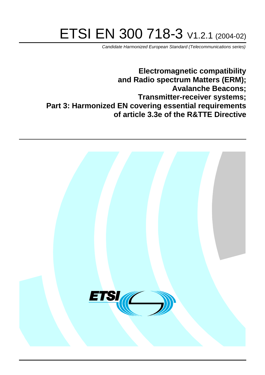# ETSI EN 300 718-3 V1.2.1 (2004-02)

Candidate Harmonized European Standard (Telecommunications series)

**Electromagnetic compatibility and Radio spectrum Matters (ERM); Avalanche Beacons; Transmitter-receiver systems; Part 3: Harmonized EN covering essential requirements of article 3.3e of the R&TTE Directive**

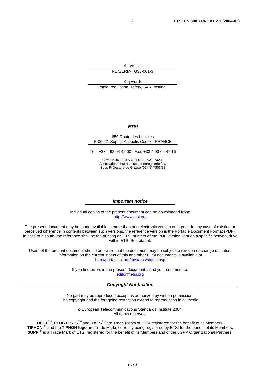Reference REN/ERM-TG36-001-3

Keywords

radio, regulation, safety, SAR, testing

#### **ETSI**

#### 650 Route des Lucioles F-06921 Sophia Antipolis Cedex - FRANCE

Tel.: +33 4 92 94 42 00 Fax: +33 4 93 65 47 16

Siret N° 348 623 562 00017 - NAF 742 C Association à but non lucratif enregistrée à la Sous-Préfecture de Grasse (06) N° 7803/88

#### **Important notice**

Individual copies of the present document can be downloaded from: [http://www.etsi.org](http://www.etsi.org/)

The present document may be made available in more than one electronic version or in print. In any case of existing or perceived difference in contents between such versions, the reference version is the Portable Document Format (PDF). In case of dispute, the reference shall be the printing on ETSI printers of the PDF version kept on a specific network drive within ETSI Secretariat.

Users of the present document should be aware that the document may be subject to revision or change of status. Information on the current status of this and other ETSI documents is available at <http://portal.etsi.org/tb/status/status.asp>

> If you find errors in the present document, send your comment to: [editor@etsi.org](mailto:editor@etsi.org)

#### **Copyright Notification**

No part may be reproduced except as authorized by written permission. The copyright and the foregoing restriction extend to reproduction in all media.

> © European Telecommunications Standards Institute 2004. All rights reserved.

**DECT**TM, **PLUGTESTS**TM and **UMTS**TM are Trade Marks of ETSI registered for the benefit of its Members. **TIPHON**TM and the **TIPHON logo** are Trade Marks currently being registered by ETSI for the benefit of its Members. **3GPP**TM is a Trade Mark of ETSI registered for the benefit of its Members and of the 3GPP Organizational Partners.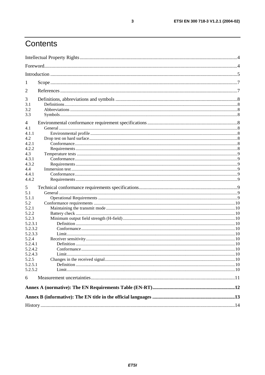# Contents

| 1       |  |  |  |
|---------|--|--|--|
| 2       |  |  |  |
| 3       |  |  |  |
| 3.1     |  |  |  |
| 3.2     |  |  |  |
| 3.3     |  |  |  |
| 4       |  |  |  |
| 4.1     |  |  |  |
| 4.1.1   |  |  |  |
| 4.2     |  |  |  |
| 4.2.1   |  |  |  |
| 4.2.2   |  |  |  |
| 4.3     |  |  |  |
| 4.3.1   |  |  |  |
| 4.3.2   |  |  |  |
| 4.4     |  |  |  |
| 4.4.1   |  |  |  |
| 4.4.2   |  |  |  |
| 5       |  |  |  |
| 5.1     |  |  |  |
| 5.1.1   |  |  |  |
| 5.2     |  |  |  |
| 5.2.1   |  |  |  |
| 5.2.2   |  |  |  |
| 5.2.3   |  |  |  |
| 5.2.3.1 |  |  |  |
| 5.2.3.2 |  |  |  |
| 5.2.3.3 |  |  |  |
| 5.2.4   |  |  |  |
| 5.2.4.1 |  |  |  |
| 5.2.4.2 |  |  |  |
| 5.2.4.3 |  |  |  |
| 5.2.5   |  |  |  |
| 5.2.5.1 |  |  |  |
| 5.2.5.2 |  |  |  |
| 6       |  |  |  |
|         |  |  |  |
|         |  |  |  |
|         |  |  |  |
|         |  |  |  |

 $\mathbf{3}$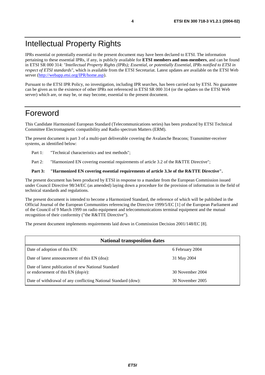IPRs essential or potentially essential to the present document may have been declared to ETSI. The information pertaining to these essential IPRs, if any, is publicly available for **ETSI members and non-members**, and can be found in ETSI SR 000 314: *"Intellectual Property Rights (IPRs); Essential, or potentially Essential, IPRs notified to ETSI in respect of ETSI standards"*, which is available from the ETSI Secretariat. Latest updates are available on the ETSI Web server (<http://webapp.etsi.org/IPR/home.asp>).

Pursuant to the ETSI IPR Policy, no investigation, including IPR searches, has been carried out by ETSI. No guarantee can be given as to the existence of other IPRs not referenced in ETSI SR 000 314 (or the updates on the ETSI Web server) which are, or may be, or may become, essential to the present document.

### Foreword

This Candidate Harmonized European Standard (Telecommunications series) has been produced by ETSI Technical Committee Electromagnetic compatibility and Radio spectrum Matters (ERM).

The present document is part 3 of a multi-part deliverable covering the Avalanche Beacons; Transmitter-receiver systems, as identified below:

Part 1: "Technical characteristics and test methods";

Part 2: "Harmonized EN covering essential requirements of article 3.2 of the R&TTE Directive";

#### **Part 3: "Harmonized EN covering essential requirements of article 3.3e of the R&TTE Directive".**

The present document has been produced by ETSI in response to a mandate from the European Commission issued under Council Directive 98/34/EC (as amended) laying down a procedure for the provision of information in the field of technical standards and regulations.

The present document is intended to become a Harmonized Standard, the reference of which will be published in the Official Journal of the European Communities referencing the Directive 1999/5/EC [1] of the European Parliament and of the Council of 9 March 1999 on radio equipment and telecommunications terminal equipment and the mutual recognition of their conformity ("the R&TTE Directive").

The present document implements requirements laid down in Commission Decision 2001/148/EC [8].

| <b>National transposition dates</b>                                                       |                  |  |  |
|-------------------------------------------------------------------------------------------|------------------|--|--|
| Date of adoption of this EN:                                                              | 6 February 2004  |  |  |
| Date of latest announcement of this EN (doa):                                             | 31 May 2004      |  |  |
| Date of latest publication of new National Standard<br>or endorsement of this EN (dop/e): | 30 November 2004 |  |  |
| Date of withdrawal of any conflicting National Standard (dow):                            | 30 November 2005 |  |  |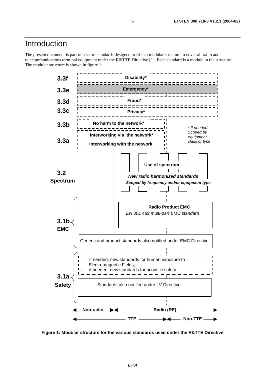### Introduction

The present document is part of a set of standards designed to fit in a modular structure to cover all radio and telecommunications terminal equipment under the R&TTE Directive [1]. Each standard is a module in the structure. The modular structure is shown in figure 1.



**Figure 1: Modular structure for the various standards used under the R&TTE Directive**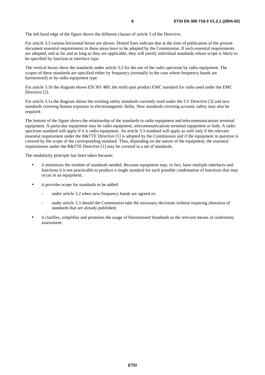The left hand edge of the figure shows the different clauses of article 3 of the Directive.

For article 3.3 various horizontal boxes are shown. Dotted lines indicate that at the time of publication of the present document essential requirements in these areas have to be adopted by the Commission. If such essential requirements are adopted, and as far and as long as they are applicable, they will justify individual standards whose scope is likely to be specified by function or interface type.

The vertical boxes show the standards under article 3.2 for the use of the radio spectrum by radio equipment. The scopes of these standards are specified either by frequency (normally in the case where frequency bands are harmonized) or by radio equipment type.

For article 3.1b the diagram shows EN 301 489, the multi-part product EMC standard for radio used under the EMC Directive [2].

For article 3.1a the diagram shows the existing safety standards currently used under the LV Directive [3] and new standards covering human exposure to electromagnetic fields. New standards covering acoustic safety may also be required.

The bottom of the figure shows the relationship of the standards to radio equipment and telecommunications terminal equipment. A particular equipment may be radio equipment, telecommunications terminal equipment or both. A radio spectrum standard will apply if it is radio equipment. An article 3.3 standard will apply as well only if the relevant essential requirement under the R&TTE Directive [1] is adopted by the Commission and if the equipment in question is covered by the scope of the corresponding standard. Thus, depending on the nature of the equipment, the essential requirements under the R&TTE Directive [1] may be covered in a set of standards.

The modularity principle has been taken because:

- it minimizes the number of standards needed. Because equipment may, in fact, have multiple interfaces and functions it is not practicable to produce a single standard for each possible combination of functions that may occur in an equipment;
- it provides scope for standards to be added:
	- under article 3.2 when new frequency bands are agreed or;
	- under article 3.3 should the Commission take the necessary decisions without requiring alteration of standards that are already published;
- it clarifies, simplifies and promotes the usage of Harmonized Standards as the relevant means of conformity assessment.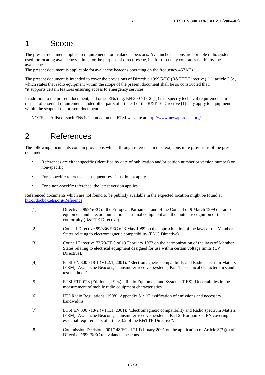### 1 Scope

The present document applies to requirements for avalanche beacons. Avalanche beacons are portable radio systems used for locating avalanche victims, for the purpose of direct rescue, i.e. for rescue by comrades not hit by the avalanche.

The present document is applicable for avalanche beacons operating on the frequency 457 kHz.

The present document is intended to cover the provisions of Directive 1999/5/EC (R&TTE Directive) [1]: article 3.3e, which states that radio equipment within the scope of the present document shall be so constructed that: "it supports certain features ensuring access to emergency services".

In addition to the present document, and other ENs (e.g. EN 300 718-2 [7]) that specify technical requirements in respect of essential requirements under other parts of article 3 of the R&TTE Directive [1] may apply to equipment within the scope of the present document.

NOTE: A list of such ENs is included on the ETSI web site at<http://www.newapproach.org/>.

# 2 References

The following documents contain provisions which, through reference in this text, constitute provisions of the present document.

- References are either specific (identified by date of publication and/or edition number or version number) or non-specific.
- For a specific reference, subsequent revisions do not apply.
- For a non-specific reference, the latest version applies.

Referenced documents which are not found to be publicly available in the expected location might be found at [http://docbox.etsi.org/Reference.](http://docbox.etsi.org/Reference)

| $[1]$ | Directive 1999/5/EC of the European Parliament and of the Council of 9 March 1999 on radio<br>equipment and telecommunications terminal equipment and the mutual recognition of their<br>conformity (R&TTE Directive).                                  |
|-------|---------------------------------------------------------------------------------------------------------------------------------------------------------------------------------------------------------------------------------------------------------|
| $[2]$ | Council Directive 89/336/EEC of 3 May 1989 on the approximation of the laws of the Member<br>States relating to electromagnetic compatibility (EMC Directive).                                                                                          |
| $[3]$ | Council Directive 73/23/EEC of 19 February 1973 on the harmonization of the laws of Member<br>States relating to electrical equipment designed for use within certain voltage limits (LV<br>Directive).                                                 |
| $[4]$ | ETSI EN 300 718-1 (V1.2.1, 2001): "Electromagnetic compatibility and Radio spectrum Matters<br>(ERM); Avalanche Beacons; Transmitter-receiver systems; Part 1: Technical characteristics and<br>test methods".                                          |
| $[5]$ | ETSI ETR 028 (Edition 2, 1994): "Radio Equipment and Systems (RES); Uncertainties in the<br>measurement of mobile radio equipment characteristics".                                                                                                     |
| [6]   | ITU Radio Regulations (1998), Appendix S1: "Classification of emissions and necessary<br>bandwidths".                                                                                                                                                   |
| $[7]$ | ETSI EN 300 718-2 (V1.1.1, 2001): "Electromagnetic compatibility and Radio spectrum Matters<br>(ERM); Avalanche Beacons; Transmitter-receiver systems; Part 2: Harmonized EN covering<br>essential requirements of article 3.2 of the R&TTE Directive". |
| [8]   | Commission Decision 2001/148/EC of 21 February 2001 on the application of Article $3(3)(e)$ of<br>Directive 1999/5/EC to avalanche beacons.                                                                                                             |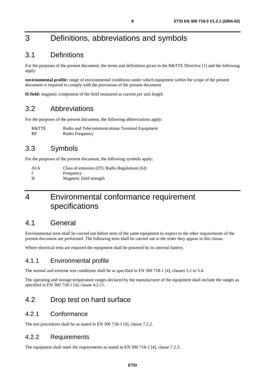# 3 Definitions, abbreviations and symbols

### 3.1 Definitions

For the purposes of the present document, the terms and definitions given in the R&TTE Directive [1] and the following apply:

**environmental profile:** range of environmental conditions under which equipment within the scope of the present document is required to comply with the provisions of the present document

**H-field:** magnetic component of the field measured as current per unit length

### 3.2 Abbreviations

For the purposes of the present document, the following abbreviations apply:

R&TTE Radio and Telecommunications Terminal Equipment RF Radio Frequency

### 3.3 Symbols

For the purposes of the present document, the following symbols apply:

| A1A | Class of emission (ITU Radio Regulations [6]) |
|-----|-----------------------------------------------|
|     | Frequency                                     |
| H   | Magnetic field strength                       |

# 4 Environmental conformance requirement specifications

### 4.1 General

Environmental tests shall be carried out before tests of the same equipment in respect to the other requirements of the present document are performed. The following tests shall be carried out in the order they appear in this clause.

Where electrical tests are required the equipment shall be powered by its internal battery.

### 4.1.1 Environmental profile

The normal and extreme test conditions shall be as specified in EN 300 718-1 [4], clauses 5.1 to 5.4.

The operating and storage temperature ranges declared by the manufacturer of the equipment shall include the ranges as specified in EN 300 718-1 [4], clause 4.2.11.

### 4.2 Drop test on hard surface

#### 4.2.1 Conformance

The test procedures shall be as stated in EN 300 718-1 [4], clause 7.2.2.

### 4.2.2 Requirements

The equipment shall meet the requirements as stated in EN 300 718-1 [4], clause 7.2.3.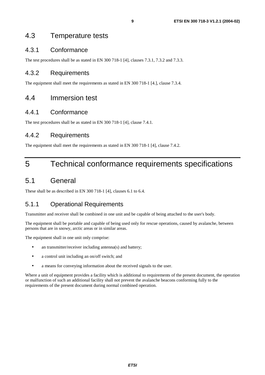### 4.3 Temperature tests

### 4.3.1 Conformance

The test procedures shall be as stated in EN 300 718-1 [4], clauses 7.3.1, 7.3.2 and 7.3.3.

### 4.3.2 Requirements

The equipment shall meet the requirements as stated in EN 300 718-1 [4.], clause 7.3.4.

### 4.4 Immersion test

### 4.4.1 Conformance

The test procedures shall be as stated in EN 300 718-1 [4], clause 7.4.1.

#### 4.4.2 Requirements

The equipment shall meet the requirements as stated in EN 300 718-1 [4], clause 7.4.2.

## 5 Technical conformance requirements specifications

### 5.1 General

These shall be as described in EN 300 718-1 [4], clauses 6.1 to 6.4.

### 5.1.1 Operational Requirements

Transmitter and receiver shall be combined in one unit and be capable of being attached to the user's body.

The equipment shall be portable and capable of being used only for rescue operations, caused by avalanche, between persons that are in snowy, arctic areas or in similar areas.

The equipment shall in one unit only comprise:

- an transmitter/receiver including antenna(s) and battery;
- a control unit including an on/off switch; and
- a means for conveying information about the received signals to the user.

Where a unit of equipment provides a facility which is additional to requirements of the present document, the operation or malfunction of such an additional facility shall not prevent the avalanche beacons conforming fully to the requirements of the present document during normal combined operation.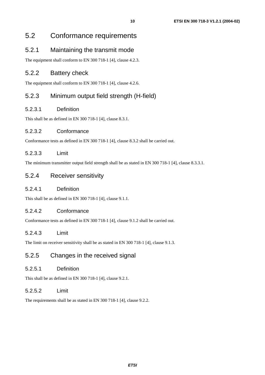### 5.2 Conformance requirements

### 5.2.1 Maintaining the transmit mode

The equipment shall conform to EN 300 718-1 [4], clause 4.2.3.

### 5.2.2 Battery check

The equipment shall conform to EN 300 718-1 [4], clause 4.2.6.

### 5.2.3 Minimum output field strength (H-field)

#### 5.2.3.1 Definition

This shall be as defined in EN 300 718-1 [4], clause 8.3.1.

#### 5.2.3.2 Conformance

Conformance tests as defined in EN 300 718-1 [4], clause 8.3.2 shall be carried out.

#### 5.2.3.3 Limit

The minimum transmitter output field strength shall be as stated in EN 300 718-1 [4], clause 8.3.3.1.

#### 5.2.4 Receiver sensitivity

#### 5.2.4.1 Definition

This shall be as defined in EN 300 718-1 [4], clause 9.1.1.

#### 5.2.4.2 Conformance

Conformance tests as defined in EN 300 718-1 [4], clause 9.1.2 shall be carried out.

#### 5.2.4.3 Limit

The limit on receiver sensitivity shall be as stated in EN 300 718-1 [4], clause 9.1.3.

#### 5.2.5 Changes in the received signal

#### 5.2.5.1 Definition

This shall be as defined in EN 300 718-1 [4], clause 9.2.1.

#### 5.2.5.2 Limit

The requirements shall be as stated in EN 300 718-1 [4], clause 9.2.2.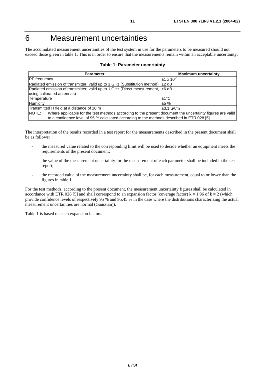## 6 Measurement uncertainties

The accumulated measurement uncertainties of the test system in use for the parameters to be measured should not exceed those given in table 1. This is in order to ensure that the measurements remain within an acceptable uncertainty.

| Table 1: Parameter uncertainty |  |
|--------------------------------|--|
|--------------------------------|--|

| <b>Parameter</b>                                                                                                                                                                                                   | <b>Maximum uncertainty</b> |  |
|--------------------------------------------------------------------------------------------------------------------------------------------------------------------------------------------------------------------|----------------------------|--|
| <b>IRF</b> frequency                                                                                                                                                                                               | $\pm$ 1 x 10 <sup>-6</sup> |  |
| Radiated emission of transmitter, valid up to 1 GHz (Substitution method) $\pm 2$ dB                                                                                                                               |                            |  |
| Radiated emission of transmitter, valid up to 1 GHz (Direct measurement, $\pm 6$ dB<br>using calibrated antennas)                                                                                                  |                            |  |
| Temperature                                                                                                                                                                                                        | ±1°C                       |  |
| <b>Humidity</b><br>±5%                                                                                                                                                                                             |                            |  |
| lTransmitted H field at a distance of 10 m                                                                                                                                                                         | l±0.1 uA/m                 |  |
| INOTE:<br>Where applicable for the test methods according to the present document the uncertainty figures are valid<br>to a confidence level of 95 % calculated according to the methods described in ETR 028 [5]. |                            |  |

The interpretation of the results recorded in a test report for the measurements described in the present document shall be as follows:

- the measured value related to the corresponding limit will be used to decide whether an equipment meets the requirements of the present document;
- the value of the measurement uncertainty for the measurement of each parameter shall be included in the test report;
- the recorded value of the measurement uncertainty shall be, for each measurement, equal to or lower than the figures in table 1.

For the test methods, according to the present document, the measurement uncertainty figures shall be calculated in accordance with ETR 028 [5] and shall correspond to an expansion factor (coverage factor)  $k = 1,96$  of  $k = 2$  (which provide confidence levels of respectively 95 % and 95,45 % in the case where the distributions characterizing the actual measurement uncertainties are normal (Gaussian)).

Table 1 is based on such expansion factors.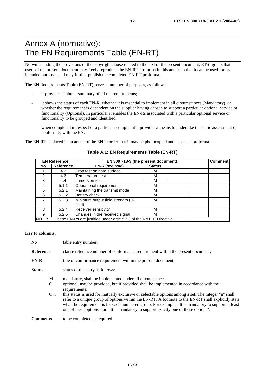# Annex A (normative): The EN Requirements Table (EN-RT)

Notwithstanding the provisions of the copyright clause related to the text of the present document, ETSI grants that users of the present document may freely reproduce the EN-RT proforma in this annex so that it can be used for its intended purposes and may further publish the completed EN-RT proforma.

The EN Requirements Table (EN-RT) serves a number of purposes, as follows:

- it provides a tabular summary of all the requirements;
- it shows the status of each EN-R, whether it is essential to implement in all circumstances (Mandatory), or whether the requirement is dependent on the supplier having chosen to support a particular optional service or functionality (Optional). In particular it enables the EN-Rs associated with a particular optional service or functionality to be grouped and identified;
- when completed in respect of a particular equipment it provides a means to undertake the static assessment of conformity with the EN.

The EN-RT is placed in an annex of the EN in order that it may be photocopied and used as a proforma.

| <b>EN Reference</b> |                                                                     | EN 300 718-3 (the present document)         |               | <b>Comment</b> |  |
|---------------------|---------------------------------------------------------------------|---------------------------------------------|---------------|----------------|--|
| No.                 | Reference                                                           | <b>EN-R</b> (see note)                      | <b>Status</b> |                |  |
|                     | $4.2^{\circ}$                                                       | Drop test on hard surface                   | М             |                |  |
| $\mathcal{P}$       | 4.3                                                                 | Temperature test                            | М             |                |  |
| 3                   | 4.4                                                                 | Immersion test                              | М             |                |  |
| 4                   | 5.1.1                                                               | Operational requirement                     | М             |                |  |
| 5                   | 5.2.1                                                               | Maintaining the transmit mode               | М             |                |  |
| 6                   | 5.2.2                                                               | <b>Battery check</b>                        | M             |                |  |
|                     | 5.2.3                                                               | Minimum output field strength (H-<br>field) | M             |                |  |
| 8                   | 5.2.4                                                               | <b>Receiver sensitivity</b>                 | М             |                |  |
| 9                   | 5.2.5                                                               | Changes in the received signal              | M             |                |  |
| NOTE:               | These EN-Rs are justified under article 3.3 of the R&TTE Directive. |                                             |               |                |  |

#### **Table A.1: EN Requirements Table (EN-RT)**

#### **Key to columns:**

| N <sub>0</sub>   | table entry number;                                                                                                                                                                                                                                                                                                                                                                                       |  |  |
|------------------|-----------------------------------------------------------------------------------------------------------------------------------------------------------------------------------------------------------------------------------------------------------------------------------------------------------------------------------------------------------------------------------------------------------|--|--|
| <b>Reference</b> | clause reference number of conformance requirement within the present document;                                                                                                                                                                                                                                                                                                                           |  |  |
| $EN-R$           | title of conformance requirement within the present document;                                                                                                                                                                                                                                                                                                                                             |  |  |
| <b>Status</b>    | status of the entry as follows:                                                                                                                                                                                                                                                                                                                                                                           |  |  |
| M                | mandatory, shall be implemented under all circumstances;                                                                                                                                                                                                                                                                                                                                                  |  |  |
| $\Omega$         | optional, may be provided, but if provided shall be implemented in accordance with the<br>requirements;                                                                                                                                                                                                                                                                                                   |  |  |
| O.n              | this status is used for mutually exclusive or selectable options among a set. The integer "n" shall<br>refer to a unique group of options within the EN-RT. A footnote to the EN-RT shall explicitly state<br>what the requirement is for each numbered group. For example, "It is mandatory to support at least<br>one of these options", or, "It is mandatory to support exactly one of these options". |  |  |
| <b>Comments</b>  | to be completed as required.                                                                                                                                                                                                                                                                                                                                                                              |  |  |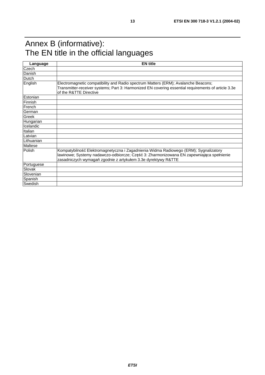## Annex B (informative): The EN title in the official languages

| Language   | <b>EN title</b>                                                                                                                                                                                                                                   |
|------------|---------------------------------------------------------------------------------------------------------------------------------------------------------------------------------------------------------------------------------------------------|
| Czech      |                                                                                                                                                                                                                                                   |
| Danish     |                                                                                                                                                                                                                                                   |
| Dutch      |                                                                                                                                                                                                                                                   |
| English    | Electromagnetic compatibility and Radio spectrum Matters (ERM); Avalanche Beacons;<br>Transmitter-receiver systems; Part 3: Harmonized EN covering essential requirements of article 3.3e<br>of the R&TTE Directive                               |
| Estonian   |                                                                                                                                                                                                                                                   |
| Finnish    |                                                                                                                                                                                                                                                   |
| French     |                                                                                                                                                                                                                                                   |
| German     |                                                                                                                                                                                                                                                   |
| Greek      |                                                                                                                                                                                                                                                   |
| Hungarian  |                                                                                                                                                                                                                                                   |
| Icelandic  |                                                                                                                                                                                                                                                   |
| Italian    |                                                                                                                                                                                                                                                   |
| Latvian    |                                                                                                                                                                                                                                                   |
| Lithuanian |                                                                                                                                                                                                                                                   |
| Maltese    |                                                                                                                                                                                                                                                   |
| Polish     | Kompatybilność Elektromagnetyczna i Zagadnienia Widma Radiowego (ERM); Sygnalizatory<br>lawinowe; Systemy nadawczo-odbiorcze; Część 3: Zharmonizowana EN zapewniająca spełnienie<br>zasadniczych wymagań zgodnie z artykułem 3.3e dyrektywy R&TTE |
| Portuguese |                                                                                                                                                                                                                                                   |
| Slovak     |                                                                                                                                                                                                                                                   |
| Slovenian  |                                                                                                                                                                                                                                                   |
| Spanish    |                                                                                                                                                                                                                                                   |
| Swedish    |                                                                                                                                                                                                                                                   |